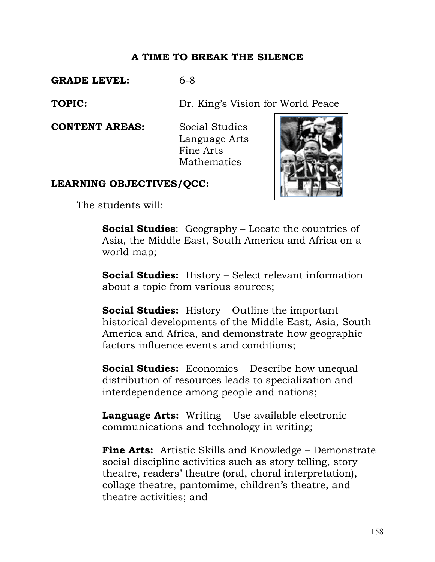#### **A TIME TO BREAK THE SILENCE**

**GRADE LEVEL:** 6-8

**TOPIC:** Dr. King's Vision for World Peace

**CONTENT AREAS:** Social Studies

 Language Arts Fine Arts Mathematics



The students will:

**Social Studies**: Geography – Locate the countries of Asia, the Middle East, South America and Africa on a world map;

**Social Studies:** History – Select relevant information about a topic from various sources;

**Social Studies:** History – Outline the important historical developments of the Middle East, Asia, South America and Africa, and demonstrate how geographic factors influence events and conditions;

**Social Studies:** Economics – Describe how unequal distribution of resources leads to specialization and interdependence among people and nations;

**Language Arts:** Writing – Use available electronic communications and technology in writing;

**Fine Arts:** Artistic Skills and Knowledge – Demonstrate social discipline activities such as story telling, story theatre, readers' theatre (oral, choral interpretation), collage theatre, pantomime, children's theatre, and theatre activities; and

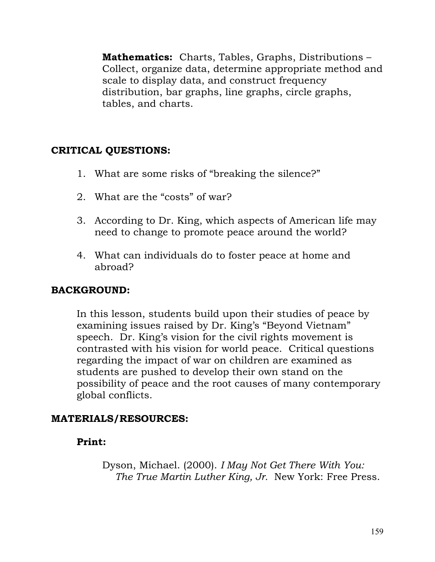**Mathematics:** Charts, Tables, Graphs, Distributions – Collect, organize data, determine appropriate method and scale to display data, and construct frequency distribution, bar graphs, line graphs, circle graphs, tables, and charts.

# **CRITICAL QUESTIONS:**

- 1. What are some risks of "breaking the silence?"
- 2. What are the "costs" of war?
- 3. According to Dr. King, which aspects of American life may need to change to promote peace around the world?
- 4. What can individuals do to foster peace at home and abroad?

## **BACKGROUND:**

In this lesson, students build upon their studies of peace by examining issues raised by Dr. King's "Beyond Vietnam" speech. Dr. King's vision for the civil rights movement is contrasted with his vision for world peace. Critical questions regarding the impact of war on children are examined as students are pushed to develop their own stand on the possibility of peace and the root causes of many contemporary global conflicts.

## **MATERIALS/RESOURCES:**

## **Print:**

Dyson, Michael. (2000). *I May Not Get There With You: The True Martin Luther King, Jr.* New York: Free Press.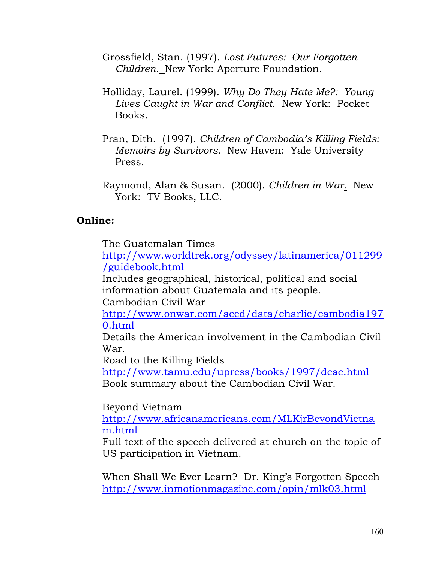- Grossfield, Stan. (1997). *Lost Futures: Our Forgotten Children.* New York: Aperture Foundation.
- Holliday, Laurel. (1999). *Why Do They Hate Me?: Young Lives Caught in War and Conflict.* New York: Pocket Books.
- Pran, Dith. (1997). *Children of Cambodia's Killing Fields: Memoirs by Survivors.* New Haven: Yale University Press.
- Raymond, Alan & Susan. (2000). *Children in War*. New York: TV Books, LLC.

# **Online:**

The Guatemalan Times

[http://www.worldtrek.org/odyssey/latinamerica/011299](http://www.worldtrek.org/odyssey/latinamerica/011299/guidebook.html) [/guidebook.html](http://www.worldtrek.org/odyssey/latinamerica/011299/guidebook.html)

Includes geographical, historical, political and social information about Guatemala and its people. Cambodian Civil War

[http://www.onwar.com/aced/data/charlie/cambodia197](http://www.onwar.com/aced/data/charlie/cambodia1970.html) [0.html](http://www.onwar.com/aced/data/charlie/cambodia1970.html)

Details the American involvement in the Cambodian Civil War.

Road to the Killing Fields

<http://www.tamu.edu/upress/books/1997/deac.html> Book summary about the Cambodian Civil War.

Beyond Vietnam

[http://www.africanamericans.com/MLKjrBeyondVietna](http://www.africanamericans.com/MLKjrBeyondVietnam.html) [m.html](http://www.africanamericans.com/MLKjrBeyondVietnam.html)

Full text of the speech delivered at church on the topic of US participation in Vietnam.

When Shall We Ever Learn? Dr. King's Forgotten Speech <http://www.inmotionmagazine.com/opin/mlk03.html>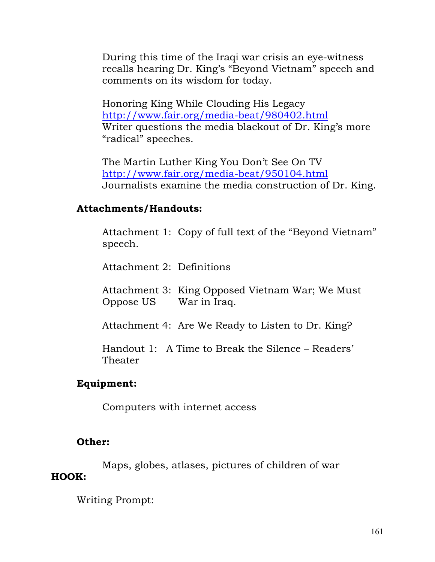During this time of the Iraqi war crisis an eye-witness recalls hearing Dr. King's "Beyond Vietnam" speech and comments on its wisdom for today.

Honoring King While Clouding His Legacy <http://www.fair.org/media-beat/980402.html> Writer questions the media blackout of Dr. King's more "radical" speeches.

The Martin Luther King You Don't See On TV <http://www.fair.org/media-beat/950104.html> Journalists examine the media construction of Dr. King.

## **Attachments/Handouts:**

Attachment 1: Copy of full text of the "Beyond Vietnam" speech.

Attachment 2: Definitions

Attachment 3: King Opposed Vietnam War; We Must Oppose US War in Iraq.

Attachment 4: Are We Ready to Listen to Dr. King?

Handout 1: A Time to Break the Silence – Readers' Theater

## **Equipment:**

Computers with internet access

## **Other:**

Maps, globes, atlases, pictures of children of war **HOOK:** 

Writing Prompt: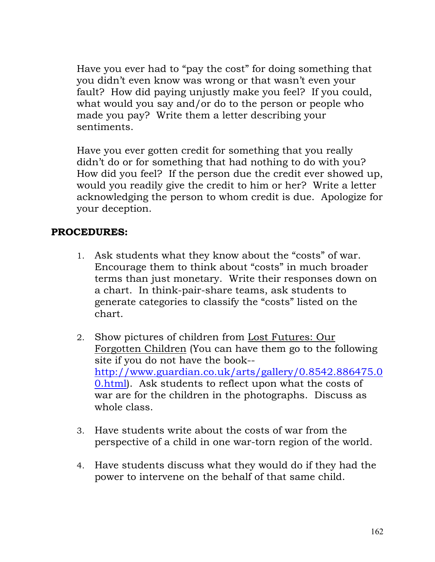Have you ever had to "pay the cost" for doing something that you didn't even know was wrong or that wasn't even your fault? How did paying unjustly make you feel? If you could, what would you say and/or do to the person or people who made you pay? Write them a letter describing your sentiments.

Have you ever gotten credit for something that you really didn't do or for something that had nothing to do with you? How did you feel? If the person due the credit ever showed up, would you readily give the credit to him or her? Write a letter acknowledging the person to whom credit is due. Apologize for your deception.

# **PROCEDURES:**

- 1. Ask students what they know about the "costs" of war. Encourage them to think about "costs" in much broader terms than just monetary. Write their responses down on a chart. In think-pair-share teams, ask students to generate categories to classify the "costs" listed on the chart.
- 2. Show pictures of children from Lost Futures: Our Forgotten Children (You can have them go to the following site if you do not have the book- [http://www.guardian.co.uk/arts/gallery/0.8542.886475.0](http://www.guardian.co.uk/arts/gallery/0.8542.886475.00.html) [0.html](http://www.guardian.co.uk/arts/gallery/0.8542.886475.00.html)). Ask students to reflect upon what the costs of war are for the children in the photographs. Discuss as whole class.
- 3. Have students write about the costs of war from the perspective of a child in one war-torn region of the world.
- 4. Have students discuss what they would do if they had the power to intervene on the behalf of that same child.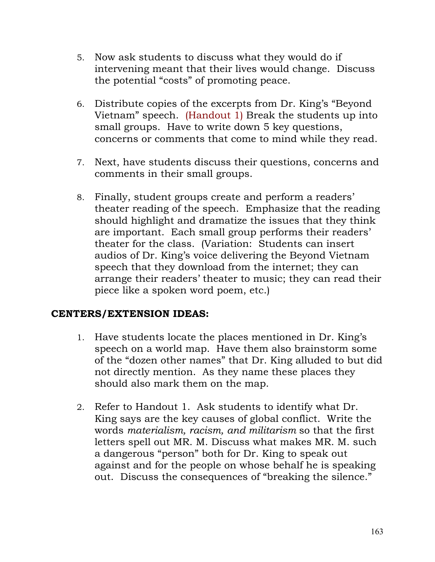- 5. Now ask students to discuss what they would do if intervening meant that their lives would change. Discuss the potential "costs" of promoting peace.
- 6. Distribute copies of the excerpts from Dr. King's "Beyond Vietnam" speech. (Handout 1) Break the students up into small groups. Have to write down 5 key questions, concerns or comments that come to mind while they read.
- 7. Next, have students discuss their questions, concerns and comments in their small groups.
- 8. Finally, student groups create and perform a readers' theater reading of the speech. Emphasize that the reading should highlight and dramatize the issues that they think are important. Each small group performs their readers' theater for the class. (Variation: Students can insert audios of Dr. King's voice delivering the Beyond Vietnam speech that they download from the internet; they can arrange their readers' theater to music; they can read their piece like a spoken word poem, etc.)

## **CENTERS/EXTENSION IDEAS:**

- 1. Have students locate the places mentioned in Dr. King's speech on a world map. Have them also brainstorm some of the "dozen other names" that Dr. King alluded to but did not directly mention. As they name these places they should also mark them on the map.
- 2. Refer to Handout 1. Ask students to identify what Dr. King says are the key causes of global conflict. Write the words *materialism, racism, and militarism* so that the first letters spell out MR. M. Discuss what makes MR. M. such a dangerous "person" both for Dr. King to speak out against and for the people on whose behalf he is speaking out. Discuss the consequences of "breaking the silence."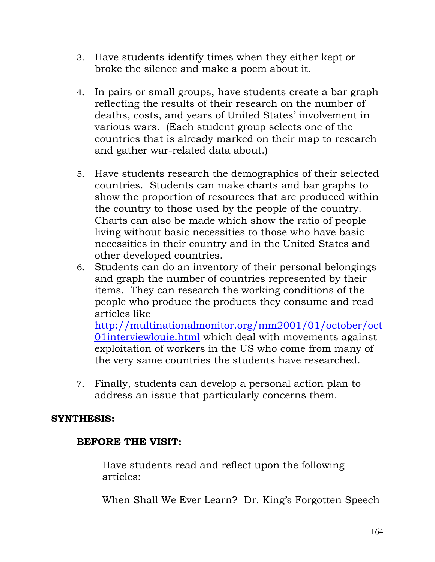- 3. Have students identify times when they either kept or broke the silence and make a poem about it.
- 4. In pairs or small groups, have students create a bar graph reflecting the results of their research on the number of deaths, costs, and years of United States' involvement in various wars. (Each student group selects one of the countries that is already marked on their map to research and gather war-related data about.)
- 5. Have students research the demographics of their selected countries. Students can make charts and bar graphs to show the proportion of resources that are produced within the country to those used by the people of the country. Charts can also be made which show the ratio of people living without basic necessities to those who have basic necessities in their country and in the United States and other developed countries.
- 6. Students can do an inventory of their personal belongings and graph the number of countries represented by their items. They can research the working conditions of the people who produce the products they consume and read articles like

[http://multinationalmonitor.org/mm2001/01/october/oct](http://multinationalmonitor.org/mm2001/01/october/oct01interviewlouie.html) [01interviewlouie.html](http://multinationalmonitor.org/mm2001/01/october/oct01interviewlouie.html) which deal with movements against exploitation of workers in the US who come from many of the very same countries the students have researched.

7. Finally, students can develop a personal action plan to address an issue that particularly concerns them.

# **SYNTHESIS:**

# **BEFORE THE VISIT:**

Have students read and reflect upon the following articles:

When Shall We Ever Learn? Dr. King's Forgotten Speech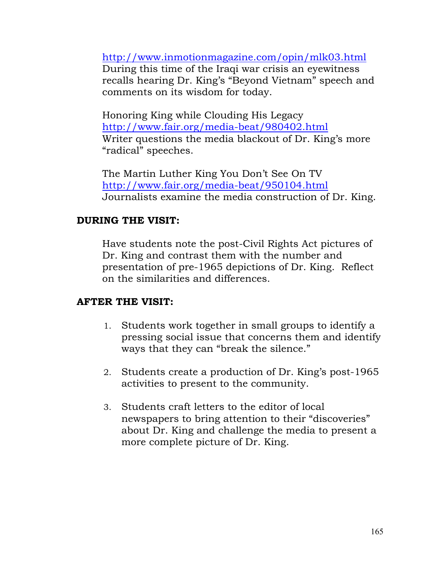<http://www.inmotionmagazine.com/opin/mlk03.html> During this time of the Iraqi war crisis an eyewitness recalls hearing Dr. King's "Beyond Vietnam" speech and comments on its wisdom for today.

Honoring King while Clouding His Legacy <http://www.fair.org/media-beat/980402.html> Writer questions the media blackout of Dr. King's more "radical" speeches.

The Martin Luther King You Don't See On TV <http://www.fair.org/media-beat/950104.html> Journalists examine the media construction of Dr. King.

### **DURING THE VISIT:**

Have students note the post-Civil Rights Act pictures of Dr. King and contrast them with the number and presentation of pre-1965 depictions of Dr. King. Reflect on the similarities and differences.

### **AFTER THE VISIT:**

- 1. Students work together in small groups to identify a pressing social issue that concerns them and identify ways that they can "break the silence."
- 2. Students create a production of Dr. King's post-1965 activities to present to the community.
- 3. Students craft letters to the editor of local newspapers to bring attention to their "discoveries" about Dr. King and challenge the media to present a more complete picture of Dr. King.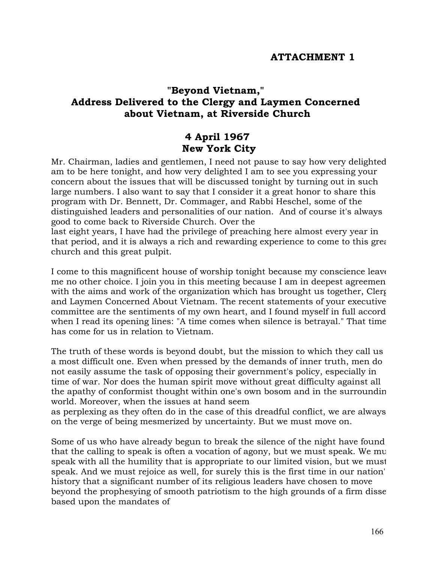#### **ATTACHMENT 1**

# **"Beyond Vietnam," Address Delivered to the Clergy and Laymen Concerned about Vietnam, a[t R](http:///)iverside Church**

### **4 April 1967 New York City**

Mr. Chairman, ladies and gentlemen, I need not pause to say how very delighted am to be here tonight, and how very delighted I am to see you expressing your concern about the issues that will be discussed tonight by turning out in such large numbers. I also want to say that I consider it a great honor to share this program with Dr. Bennett, Dr. Commager, and Rabbi Heschel, some of the distinguished leaders and personalities of our nation. And of course it's always good to come back to Riverside Church. Over the

last eight years, I have had the privilege of preaching here almost every year in that period, and it is always a rich and rewarding experience to come to this grea church and this great pulpit.

I come to this magnificent house of worship tonight because my conscience leave me no other choice. I join you in this meeting because I am in deepest agreemen with the aims and work of the organization which has brought us together, Clerg and Laymen Concerned About Vietnam. The recent statements of your executive committee are the sentiments of my own heart, and I found myself in full accord when I read its opening lines: "A time comes when silence is betrayal." That time has come for us in relation to Vietnam.

The truth of these words is beyond doubt, but the mission to which they call us a most difficult one. Even when pressed by the demands of inner truth, men do not easily assume the task of opposing their government's policy, especially in time of war. Nor does the human spirit move without great difficulty against all the apathy of conformist thought within one's own bosom and in the surroundin world. Moreover, when the issues at hand seem

as perplexing as they often do in the case of this dreadful conflict, we are always on the verge of being mesmerized by uncertainty. But we must move on.

Some of us who have already begun to break the silence of the night have found that the calling to speak is often a vocation of agony, but we must speak. We mu speak with all the humility that is appropriate to our limited vision, but we must speak. And we must rejoice as well, for surely this is the first time in our nation' history that a significant number of its religious leaders have chosen to move beyond the prophesying of smooth patriotism to the high grounds of a firm disse based upon the mandates of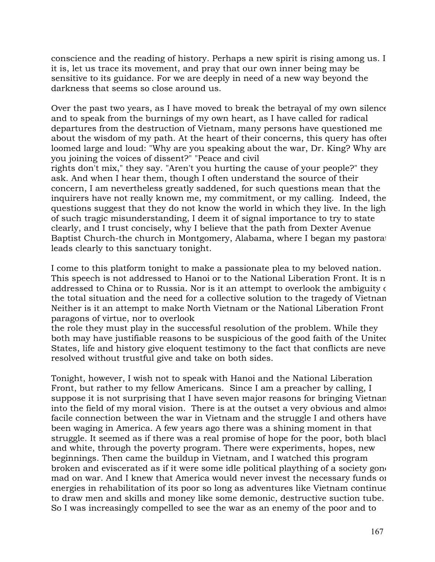conscience and the reading of history. Perhaps a new spirit is rising among us. I it is, let us trace its movement, and pray that our own inner being may be sensitive to its guidance. For we are deeply in need of a new way beyond the darkness that seems so close around us.

Over the past two years, as I have moved to break the betrayal of my own silence and to speak from the burnings of my own heart, as I have called for radical departures from the destruction of Vietnam, many persons have questioned me about the wisdom of my path. At the heart of their concerns, this query has often loomed large and loud: "Why are you speaking about the war, Dr. King? Why are you joining the voices of dissent?" "Peace and civil rights don't mix," they say. "Aren't you hurting the cause of your people?" they ask. And when I hear them, though I often understand the source of their concern, I am nevertheless greatly saddened, for such questions mean that the inquirers have not really known me, my commitment, or my calling. Indeed, the questions suggest that they do not know the world in which they live. In the ligh of such tragic misunderstanding, I deem it of signal importance to try to state clearly, and I trust concisely, why I believe that the path from Dexter Avenue Baptist Church-the church in Montgomery, Alabama, where I began my pastoration leads clearly to this sanctuary tonight.

I come to this platform tonight to make a passionate plea to my beloved nation. This speech is not addressed to Hanoi or to the National Liberation Front. It is n addressed to China or to Russia. Nor is it an attempt to overlook the ambiguity of the total situation and the need for a collective solution to the tragedy of Vietnam Neither is it an attempt to make North Vietnam or the National Liberation Front paragons of virtue, nor to overlook

the role they must play in the successful resolution of the problem. While they both may have justifiable reasons to be suspicious of the good faith of the United States, life and history give eloquent testimony to the fact that conflicts are neve resolved without trustful give and take on both sides.

Tonight, however, I wish not to speak with Hanoi and the National Liberation Front, but rather to my fellow Americans. Since I am a preacher by calling, I suppose it is not surprising that I have seven major reasons for bringing Vietnam into the field of my moral vision. There is at the outset a very obvious and almos facile connection between the war in Vietnam and the struggle I and others have been waging in America. A few years ago there was a shining moment in that struggle. It seemed as if there was a real promise of hope for the poor, both black and white, through the poverty program. There were experiments, hopes, new beginnings. Then came the buildup in Vietnam, and I watched this program broken and eviscerated as if it were some idle political plaything of a society gone mad on war. And I knew that America would never invest the necessary funds or energies in rehabilitation of its poor so long as adventures like Vietnam continue to draw men and skills and money like some demonic, destructive suction tube. So I was increasingly compelled to see the war as an enemy of the poor and to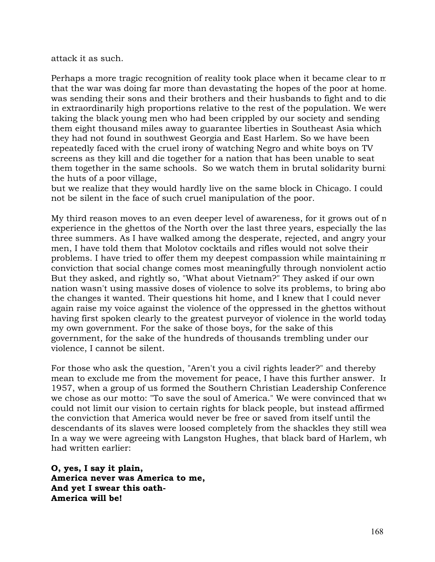attack it as such.

Perhaps a more tragic recognition of reality took place when it became clear to m that the war was doing far more than devastating the hopes of the poor at home. was sending their sons and their brothers and their husbands to fight and to die in extraordinarily high proportions relative to the rest of the population. We were taking the black young men who had been crippled by our society and sending them eight thousand miles away to guarantee liberties in Southeast Asia which they had not found in southwest Georgia and East Harlem. So we have been repeatedly faced with the cruel irony of watching Negro and white boys on TV screens as they kill and die together for a nation that has been unable to seat them together in the same schools. So we watch them in brutal solidarity burning the huts of a poor village,

but we realize that they would hardly live on the same block in Chicago. I could not be silent in the face of such cruel manipulation of the poor.

My third reason moves to an even deeper level of awareness, for it grows out of m experience in the ghettos of the North over the last three years, especially the las three summers. As I have walked among the desperate, rejected, and angry youn men, I have told them that Molotov cocktails and rifles would not solve their problems. I have tried to offer them my deepest compassion while maintaining m conviction that social change comes most meaningfully through nonviolent actio But they asked, and rightly so, "What about Vietnam?" They asked if our own nation wasn't using massive doses of violence to solve its problems, to bring abo the changes it wanted. Their questions hit home, and I knew that I could never again raise my voice against the violence of the oppressed in the ghettos without having first spoken clearly to the greatest purveyor of violence in the world today my own government. For the sake of those boys, for the sake of this government, for the sake of the hundreds of thousands trembling under our violence, I cannot be silent.

For those who ask the question, "Aren't you a civil rights leader?" and thereby mean to exclude me from the movement for peace, I have this further answer. In 1957, when a group of us formed the Southern Christian Leadership Conference we chose as our motto: "To save the soul of America." We were convinced that we could not limit our vision to certain rights for black people, but instead affirmed the conviction that America would never be free or saved from itself until the descendants of its slaves were loosed completely from the shackles they still wea In a way we were agreeing with Langston Hughes, that black bard of Harlem, wh had written earlier:

**O, yes, I say it plain, America never was America to me, And yet I swear this oath-America will be!**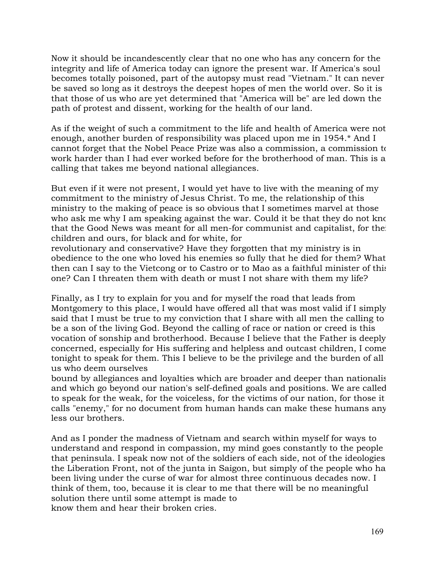Now it should be incandescently clear that no one who has any concern for the integrity and life of America today can ignore the present war. If America's soul becomes totally poisoned, part of the autopsy must read "Vietnam." It can never be saved so long as it destroys the deepest hopes of men the world over. So it is that those of us who are yet determined that "America will be" are led down the path of protest and dissent, working for the health of our land.

As if the weight of such a commitment to the life and health of America were not enough, another burden of responsibility was placed upon me in 1954.\* And I cannot forget that the Nobel Peace Prize was also a commission, a commission to work harder than I had ever worked before for the brotherhood of man. This is a calling that takes me beyond national allegiances.

But even if it were not present, I would yet have to live with the meaning of my commitment to the ministry of Jesus Christ. To me, the relationship of this ministry to the making of peace is so obvious that I sometimes marvel at those who ask me why I am speaking against the war. Could it be that they do not know that the Good News was meant for all men-for communist and capitalist, for the children and ours, for black and for white, for

revolutionary and conservative? Have they forgotten that my ministry is in obedience to the one who loved his enemies so fully that he died for them? What then can I say to the Vietcong or to Castro or to Mao as a faithful minister of this one? Can I threaten them with death or must I not share with them my life?

Finally, as I try to explain for you and for myself the road that leads from Montgomery to this place, I would have offered all that was most valid if I simply said that I must be true to my conviction that I share with all men the calling to be a son of the living God. Beyond the calling of race or nation or creed is this vocation of sonship and brotherhood. Because I believe that the Father is deeply concerned, especially for His suffering and helpless and outcast children, I come tonight to speak for them. This I believe to be the privilege and the burden of all us who deem ourselves

bound by allegiances and loyalties which are broader and deeper than nationalis and which go beyond our nation's self-defined goals and positions. We are called to speak for the weak, for the voiceless, for the victims of our nation, for those it calls "enemy," for no document from human hands can make these humans any less our brothers.

And as I ponder the madness of Vietnam and search within myself for ways to understand and respond in compassion, my mind goes constantly to the people that peninsula. I speak now not of the soldiers of each side, not of the ideologies the Liberation Front, not of the junta in Saigon, but simply of the people who ha been living under the curse of war for almost three continuous decades now. I think of them, too, because it is clear to me that there will be no meaningful solution there until some attempt is made to know them and hear their broken cries.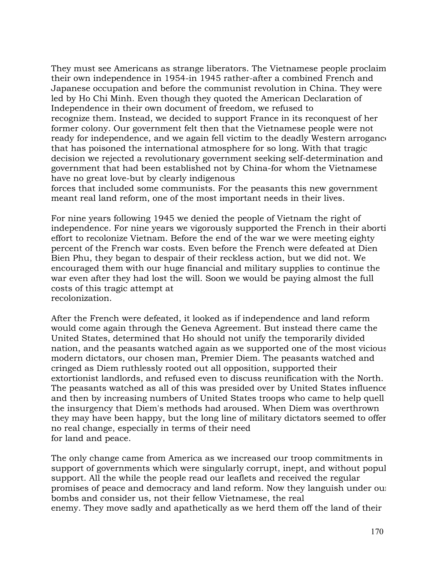They must see Americans as strange liberators. The Vietnamese people proclaim their own independence in 1954-in 1945 rather-after a combined French and Japanese occupation and before the communist revolution in China. They were led by Ho Chi Minh. Even though they quoted the American Declaration of Independence in their own document of freedom, we refused to recognize them. Instead, we decided to support France in its reconquest of her former colony. Our government felt then that the Vietnamese people were not ready for independence, and we again fell victim to the deadly Western arrogance that has poisoned the international atmosphere for so long. With that tragic decision we rejected a revolutionary government seeking self-determination and government that had been established not by China-for whom the Vietnamese have no great love-but by clearly indigenous

forces that included some communists. For the peasants this new government meant real land reform, one of the most important needs in their lives.

For nine years following 1945 we denied the people of Vietnam the right of independence. For nine years we vigorously supported the French in their aborti effort to recolonize Vietnam. Before the end of the war we were meeting eighty percent of the French war costs. Even before the French were defeated at Dien Bien Phu, they began to despair of their reckless action, but we did not. We encouraged them with our huge financial and military supplies to continue the war even after they had lost the will. Soon we would be paying almost the full costs of this tragic attempt at recolonization.

After the French were defeated, it looked as if independence and land reform would come again through the Geneva Agreement. But instead there came the United States, determined that Ho should not unify the temporarily divided nation, and the peasants watched again as we supported one of the most vicious modern dictators, our chosen man, Premier Diem. The peasants watched and cringed as Diem ruthlessly rooted out all opposition, supported their extortionist landlords, and refused even to discuss reunification with the North. The peasants watched as all of this was presided over by United States influence and then by increasing numbers of United States troops who came to help quell the insurgency that Diem's methods had aroused. When Diem was overthrown they may have been happy, but the long line of military dictators seemed to offer no real change, especially in terms of their need for land and peace.

The only change came from America as we increased our troop commitments in support of governments which were singularly corrupt, inept, and without popul support. All the while the people read our leaflets and received the regular promises of peace and democracy and land reform. Now they languish under our bombs and consider us, not their fellow Vietnamese, the real enemy. They move sadly and apathetically as we herd them off the land of their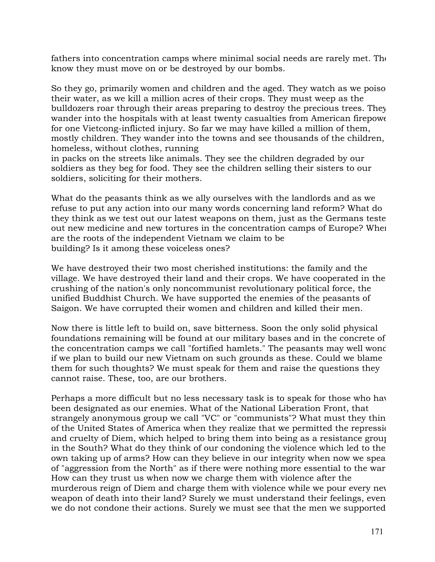fathers into concentration camps where minimal social needs are rarely met. The know they must move on or be destroyed by our bombs.

So they go, primarily women and children and the aged. They watch as we poiso their water, as we kill a million acres of their crops. They must weep as the bulldozers roar through their areas preparing to destroy the precious trees. They wander into the hospitals with at least twenty casualties from American firepowe for one Vietcong-inflicted injury. So far we may have killed a million of them, mostly children. They wander into the towns and see thousands of the children, homeless, without clothes, running

in packs on the streets like animals. They see the children degraded by our soldiers as they beg for food. They see the children selling their sisters to our soldiers, soliciting for their mothers.

What do the peasants think as we ally ourselves with the landlords and as we refuse to put any action into our many words concerning land reform? What do they think as we test out our latest weapons on them, just as the Germans teste out new medicine and new tortures in the concentration camps of Europe? Wher are the roots of the independent Vietnam we claim to be building? Is it among these voiceless ones?

We have destroyed their two most cherished institutions: the family and the village. We have destroyed their land and their crops. We have cooperated in the crushing of the nation's only noncommunist revolutionary political force, the unified Buddhist Church. We have supported the enemies of the peasants of Saigon. We have corrupted their women and children and killed their men.

Now there is little left to build on, save bitterness. Soon the only solid physical foundations remaining will be found at our military bases and in the concrete of the concentration camps we call "fortified hamlets." The peasants may well wond if we plan to build our new Vietnam on such grounds as these. Could we blame them for such thoughts? We must speak for them and raise the questions they cannot raise. These, too, are our brothers.

Perhaps a more difficult but no less necessary task is to speak for those who hav been designated as our enemies. What of the National Liberation Front, that strangely anonymous group we call "VC" or "communists"? What must they thin of the United States of America when they realize that we permitted the repressio and cruelty of Diem, which helped to bring them into being as a resistance group in the South? What do they think of our condoning the violence which led to the own taking up of arms? How can they believe in our integrity when now we spea of "aggression from the North" as if there were nothing more essential to the war How can they trust us when now we charge them with violence after the murderous reign of Diem and charge them with violence while we pour every new weapon of death into their land? Surely we must understand their feelings, even we do not condone their actions. Surely we must see that the men we supported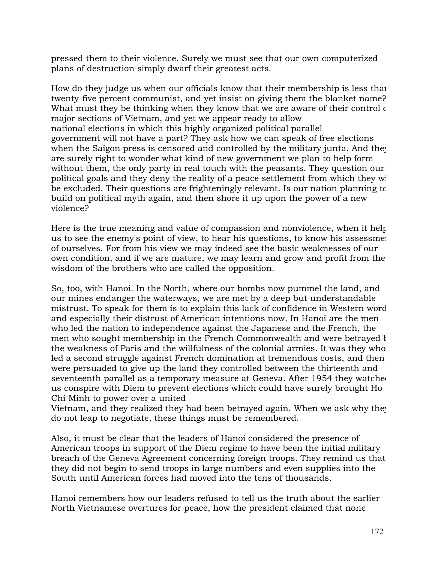pressed them to their violence. Surely we must see that our own computerized plans of destruction simply dwarf their greatest acts.

How do they judge us when our officials know that their membership is less than twenty-five percent communist, and yet insist on giving them the blanket name? What must they be thinking when they know that we are aware of their control of major sections of Vietnam, and yet we appear ready to allow national elections in which this highly organized political parallel government will not have a part? They ask how we can speak of free elections when the Saigon press is censored and controlled by the military junta. And they are surely right to wonder what kind of new government we plan to help form without them, the only party in real touch with the peasants. They question our political goals and they deny the reality of a peace settlement from which they wi be excluded. Their questions are frighteningly relevant. Is our nation planning to build on political myth again, and then shore it up upon the power of a new violence?

Here is the true meaning and value of compassion and nonviolence, when it help us to see the enemy's point of view, to hear his questions, to know his assessment of ourselves. For from his view we may indeed see the basic weaknesses of our own condition, and if we are mature, we may learn and grow and profit from the wisdom of the brothers who are called the opposition.

So, too, with Hanoi. In the North, where our bombs now pummel the land, and our mines endanger the waterways, we are met by a deep but understandable mistrust. To speak for them is to explain this lack of confidence in Western word and especially their distrust of American intentions now. In Hanoi are the men who led the nation to independence against the Japanese and the French, the men who sought membership in the French Commonwealth and were betrayed l the weakness of Paris and the willfulness of the colonial armies. It was they who led a second struggle against French domination at tremendous costs, and then were persuaded to give up the land they controlled between the thirteenth and seventeenth parallel as a temporary measure at Geneva. After 1954 they watched us conspire with Diem to prevent elections which could have surely brought Ho Chi Minh to power over a united

Vietnam, and they realized they had been betrayed again. When we ask why the do not leap to negotiate, these things must be remembered.

Also, it must be clear that the leaders of Hanoi considered the presence of American troops in support of the Diem regime to have been the initial military breach of the Geneva Agreement concerning foreign troops. They remind us that they did not begin to send troops in large numbers and even supplies into the South until American forces had moved into the tens of thousands.

Hanoi remembers how our leaders refused to tell us the truth about the earlier North Vietnamese overtures for peace, how the president claimed that none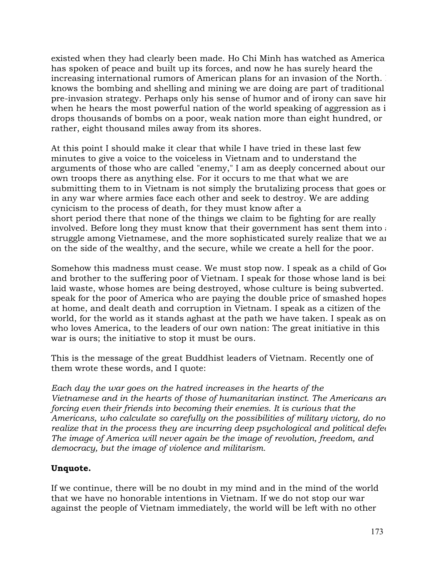existed when they had clearly been made. Ho Chi Minh has watched as America has spoken of peace and built up its forces, and now he has surely heard the increasing international rumors of American plans for an invasion of the North. knows the bombing and shelling and mining we are doing are part of traditional pre-invasion strategy. Perhaps only his sense of humor and of irony can save him when he hears the most powerful nation of the world speaking of aggression as i drops thousands of bombs on a poor, weak nation more than eight hundred, or rather, eight thousand miles away from its shores.

At this point I should make it clear that while I have tried in these last few minutes to give a voice to the voiceless in Vietnam and to understand the arguments of those who are called "enemy," I am as deeply concerned about our own troops there as anything else. For it occurs to me that what we are submitting them to in Vietnam is not simply the brutalizing process that goes on in any war where armies face each other and seek to destroy. We are adding cynicism to the process of death, for they must know after a short period there that none of the things we claim to be fighting for are really involved. Before long they must know that their government has sent them into a struggle among Vietnamese, and the more sophisticated surely realize that we ar on the side of the wealthy, and the secure, while we create a hell for the poor.

Somehow this madness must cease. We must stop now. I speak as a child of God and brother to the suffering poor of Vietnam. I speak for those whose land is being laid waste, whose homes are being destroyed, whose culture is being subverted. speak for the poor of America who are paying the double price of smashed hopes at home, and dealt death and corruption in Vietnam. I speak as a citizen of the world, for the world as it stands aghast at the path we have taken. I speak as on who loves America, to the leaders of our own nation: The great initiative in this war is ours; the initiative to stop it must be ours.

This is the message of the great Buddhist leaders of Vietnam. Recently one of them wrote these words, and I quote:

*Each day the war goes on the hatred increases in the hearts of the Vietnamese and in the hearts of those of humanitarian instinct. The Americans are forcing even their friends into becoming their enemies. It is curious that the Americans, who calculate so carefully on the possibilities of military victory, do no realize that in the process they are incurring deep psychological and political defea The image of America will never again be the image of revolution, freedom, and democracy, but the image of violence and militarism.* 

#### **Unquote.**

If we continue, there will be no doubt in my mind and in the mind of the world that we have no honorable intentions in Vietnam. If we do not stop our war against the people of Vietnam immediately, the world will be left with no other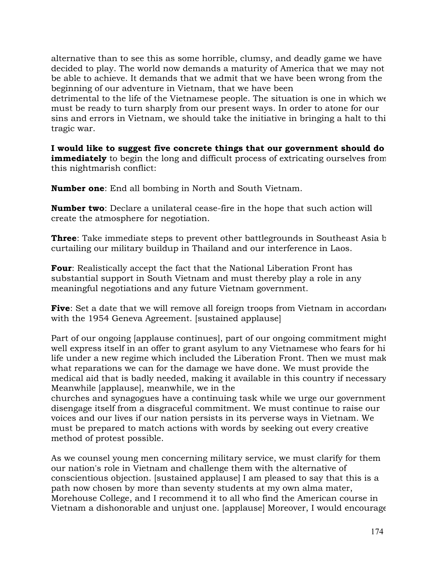alternative than to see this as some horrible, clumsy, and deadly game we have decided to play. The world now demands a maturity of America that we may not be able to achieve. It demands that we admit that we have been wrong from the beginning of our adventure in Vietnam, that we have been

detrimental to the life of the Vietnamese people. The situation is one in which we must be ready to turn sharply from our present ways. In order to atone for our sins and errors in Vietnam, we should take the initiative in bringing a halt to thi tragic war.

**I would like to suggest five concrete things that our government should do immediately** to begin the long and difficult process of extricating ourselves from this nightmarish conflict:

**Number one**: End all bombing in North and South Vietnam.

**Number two**: Declare a unilateral cease-fire in the hope that such action will create the atmosphere for negotiation.

**Three**: Take immediate steps to prevent other battlegrounds in Southeast Asia b curtailing our military buildup in Thailand and our interference in Laos.

**Four**: Realistically accept the fact that the National Liberation Front has substantial support in South Vietnam and must thereby play a role in any meaningful negotiations and any future Vietnam government.

**Five**: Set a date that we will remove all foreign troops from Vietnam in accordance with the 1954 Geneva Agreement. [sustained applause]

Part of our ongoing [applause continues], part of our ongoing commitment might well express itself in an offer to grant asylum to any Vietnamese who fears for hi life under a new regime which included the Liberation Front. Then we must mak what reparations we can for the damage we have done. We must provide the medical aid that is badly needed, making it available in this country if necessary Meanwhile [applause], meanwhile, we in the

churches and synagogues have a continuing task while we urge our government disengage itself from a disgraceful commitment. We must continue to raise our voices and our lives if our nation persists in its perverse ways in Vietnam. We must be prepared to match actions with words by seeking out every creative method of protest possible.

As we counsel young men concerning military service, we must clarify for them our nation's role in Vietnam and challenge them with the alternative of conscientious objection. [sustained applause] I am pleased to say that this is a path now chosen by more than seventy students at my own alma mater, Morehouse College, and I recommend it to all who find the American course in Vietnam a dishonorable and unjust one. [applause] Moreover, I would encourage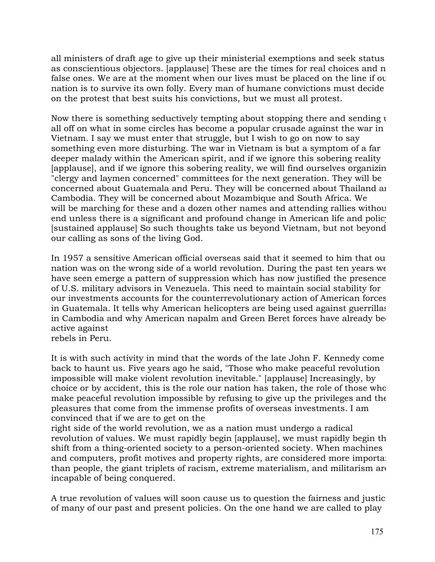all ministers of draft age to give up their ministerial exemptions and seek status as conscientious objectors. [applause] These are the times for real choices and n false ones. We are at the moment when our lives must be placed on the line if ou nation is to survive its own folly. Every man of humane convictions must decide on the protest that best suits his convictions, but we must all protest.

Now there is something seductively tempting about stopping there and sending u all off on what in some circles has become a popular crusade against the war in Vietnam. I say we must enter that struggle, but I wish to go on now to say something even more disturbing. The war in Vietnam is but a symptom of a far deeper malady within the American spirit, and if we ignore this sobering reality [applause], and if we ignore this sobering reality, we will find ourselves organizin "clergy and laymen concerned" committees for the next generation. They will be concerned about Guatemala and Peru. They will be concerned about Thailand an Cambodia. They will be concerned about Mozambique and South Africa. We will be marching for these and a dozen other names and attending rallies withou end unless there is a significant and profound change in American life and polic [sustained applause] So such thoughts take us beyond Vietnam, but not beyond our calling as sons of the living God.

In 1957 a sensitive American official overseas said that it seemed to him that ou nation was on the wrong side of a world revolution. During the past ten years we have seen emerge a pattern of suppression which has now justified the presence of U.S. military advisors in Venezuela. This need to maintain social stability for our investments accounts for the counterrevolutionary action of American forces in Guatemala. It tells why American helicopters are being used against guerrillas in Cambodia and why American napalm and Green Beret forces have already be active against

rebels in Peru.

It is with such activity in mind that the words of the late John F. Kennedy come back to haunt us. Five years ago he said, "Those who make peaceful revolution impossible will make violent revolution inevitable." [applause] Increasingly, by choice or by accident, this is the role our nation has taken, the role of those who make peaceful revolution impossible by refusing to give up the privileges and the pleasures that come from the immense profits of overseas investments. I am convinced that if we are to get on the

right side of the world revolution, we as a nation must undergo a radical revolution of values. We must rapidly begin [applause], we must rapidly begin th shift from a thing-oriented society to a person-oriented society. When machines and computers, profit motives and property rights, are considered more important than people, the giant triplets of racism, extreme materialism, and militarism are incapable of being conquered.

A true revolution of values will soon cause us to question the fairness and justic of many of our past and present policies. On the one hand we are called to play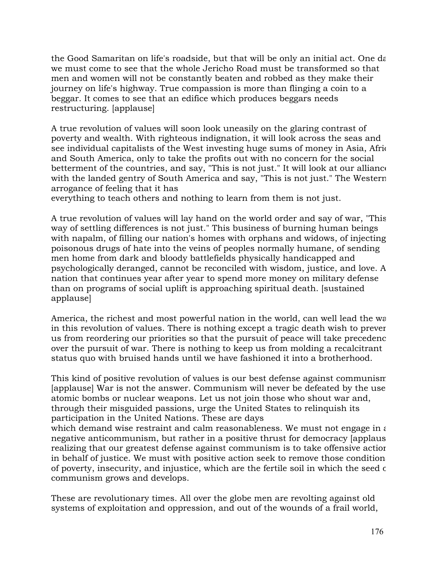the Good Samaritan on life's roadside, but that will be only an initial act. One da we must come to see that the whole Jericho Road must be transformed so that men and women will not be constantly beaten and robbed as they make their journey on life's highway. True compassion is more than flinging a coin to a beggar. It comes to see that an edifice which produces beggars needs restructuring. [applause]

A true revolution of values will soon look uneasily on the glaring contrast of poverty and wealth. With righteous indignation, it will look across the seas and see individual capitalists of the West investing huge sums of money in Asia, Afric and South America, only to take the profits out with no concern for the social betterment of the countries, and say, "This is not just." It will look at our alliance with the landed gentry of South America and say, "This is not just." The Western arrogance of feeling that it has

everything to teach others and nothing to learn from them is not just.

A true revolution of values will lay hand on the world order and say of war, "This way of settling differences is not just." This business of burning human beings with napalm, of filling our nation's homes with orphans and widows, of injecting poisonous drugs of hate into the veins of peoples normally humane, of sending men home from dark and bloody battlefields physically handicapped and psychologically deranged, cannot be reconciled with wisdom, justice, and love. A nation that continues year after year to spend more money on military defense than on programs of social uplift is approaching spiritual death. [sustained applause]

America, the richest and most powerful nation in the world, can well lead the wa in this revolution of values. There is nothing except a tragic death wish to preven us from reordering our priorities so that the pursuit of peace will take precedenc over the pursuit of war. There is nothing to keep us from molding a recalcitrant status quo with bruised hands until we have fashioned it into a brotherhood.

This kind of positive revolution of values is our best defense against communism [applause] War is not the answer. Communism will never be defeated by the use atomic bombs or nuclear weapons. Let us not join those who shout war and, through their misguided passions, urge the United States to relinquish its participation in the United Nations. These are days

which demand wise restraint and calm reasonableness. We must not engage in  $\epsilon$ negative anticommunism, but rather in a positive thrust for democracy [applaus realizing that our greatest defense against communism is to take offensive action in behalf of justice. We must with positive action seek to remove those condition of poverty, insecurity, and injustice, which are the fertile soil in which the seed o communism grows and develops.

These are revolutionary times. All over the globe men are revolting against old systems of exploitation and oppression, and out of the wounds of a frail world,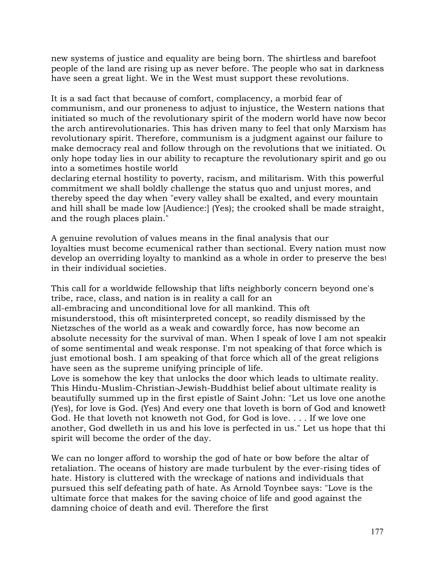new systems of justice and equality are being born. The shirtless and barefoot people of the land are rising up as never before. The people who sat in darkness have seen a great light. We in the West must support these revolutions.

It is a sad fact that because of comfort, complacency, a morbid fear of communism, and our proneness to adjust to injustice, the Western nations that initiated so much of the revolutionary spirit of the modern world have now becor the arch antirevolutionaries. This has driven many to feel that only Marxism has revolutionary spirit. Therefore, communism is a judgment against our failure to make democracy real and follow through on the revolutions that we initiated. Ou only hope today lies in our ability to recapture the revolutionary spirit and go ou into a sometimes hostile world

declaring eternal hostility to poverty, racism, and militarism. With this powerful commitment we shall boldly challenge the status quo and unjust mores, and thereby speed the day when "every valley shall be exalted, and every mountain and hill shall be made low [Audience:] (Yes); the crooked shall be made straight, and the rough places plain."

A genuine revolution of values means in the final analysis that our loyalties must become ecumenical rather than sectional. Every nation must now develop an overriding loyalty to mankind as a whole in order to preserve the best in their individual societies.

This call for a worldwide fellowship that lifts neighborly concern beyond one's tribe, race, class, and nation is in reality a call for an

all-embracing and unconditional love for all mankind. This oft misunderstood, this oft misinterpreted concept, so readily dismissed by the Nietzsches of the world as a weak and cowardly force, has now become an absolute necessity for the survival of man. When I speak of love I am not speakin of some sentimental and weak response. I'm not speaking of that force which is just emotional bosh. I am speaking of that force which all of the great religions have seen as the supreme unifying principle of life.

Love is somehow the key that unlocks the door which leads to ultimate reality. This Hindu-Muslim-Christian-Jewish-Buddhist belief about ultimate reality is beautifully summed up in the first epistle of Saint John: "Let us love one another (Yes), for love is God. (Yes) And every one that loveth is born of God and knoweth God. He that loveth not knoweth not God, for God is love. . . . If we love one another, God dwelleth in us and his love is perfected in us." Let us hope that thi spirit will become the order of the day.

We can no longer afford to worship the god of hate or bow before the altar of retaliation. The oceans of history are made turbulent by the ever-rising tides of hate. History is cluttered with the wreckage of nations and individuals that pursued this self defeating path of hate. As Arnold Toynbee says: "Love is the ultimate force that makes for the saving choice of life and good against the damning choice of death and evil. Therefore the first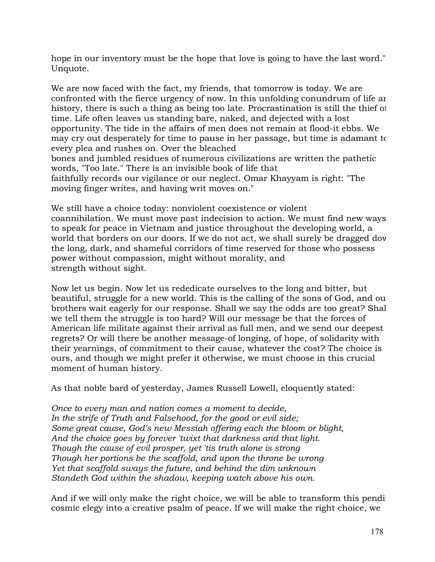hope in our inventory must be the hope that love is going to have the last word." Unquote.

We are now faced with the fact, my friends, that tomorrow is today. We are confronted with the fierce urgency of now. In this unfolding conundrum of life an history, there is such a thing as being too late. Procrastination is still the thief of time. Life often leaves us standing bare, naked, and dejected with a lost opportunity. The tide in the affairs of men does not remain at flood-it ebbs. We may cry out desperately for time to pause in her passage, but time is adamant to every plea and rushes on. Over the bleached bones and jumbled residues of numerous civilizations are written the pathetic words, "Too late." There is an invisible book of life that faithfully records our vigilance or our neglect. Omar Khayyam is right: "The moving finger writes, and having writ moves on."

We still have a choice today: nonviolent coexistence or violent coannihilation. We must move past indecision to action. We must find new ways to speak for peace in Vietnam and justice throughout the developing world, a world that borders on our doors. If we do not act, we shall surely be dragged dow the long, dark, and shameful corridors of time reserved for those who possess power without compassion, might without morality, and strength without sight.

Now let us begin. Now let us rededicate ourselves to the long and bitter, but beautiful, struggle for a new world. This is the calling of the sons of God, and ou brothers wait eagerly for our response. Shall we say the odds are too great? Shal we tell them the struggle is too hard? Will our message be that the forces of American life militate against their arrival as full men, and we send our deepest regrets? Or will there be another message-of longing, of hope, of solidarity with their yearnings, of commitment to their cause, whatever the cost? The choice is ours, and though we might prefer it otherwise, we must choose in this crucial moment of human history.

As that noble bard of yesterday, James Russell Lowell, eloquently stated:

*Once to every man and nation comes a moment to decide, In the strife of Truth and Falsehood, for the good or evil side; Some great cause, God's new Messiah offering each the bloom or blight, And the choice goes by forever 'twixt that darkness and that light. Though the cause of evil prosper, yet 'tis truth alone is strong Though her portions be the scaffold, and upon the throne be wrong Yet that scaffold sways the future, and behind the dim unknown Standeth God within the shadow, keeping watch above his own.* 

And if we will only make the right choice, we will be able to transform this pendicosmic elegy into a creative psalm of peace. If we will make the right choice, we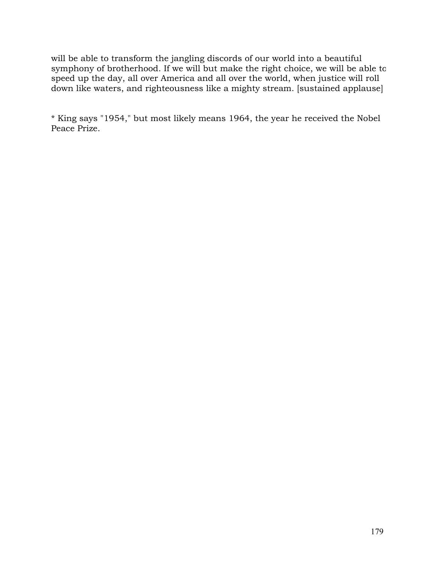will be able to transform the jangling discords of our world into a beautiful symphony of brotherhood. If we will but make the right choice, we will be able to speed up the day, all over America and all over the world, when justice will roll down like waters, and righteousness like a mighty stream. [sustained applause]

\* King says "1954," but most likely means 1964, the year he received the Nobel Peace Prize.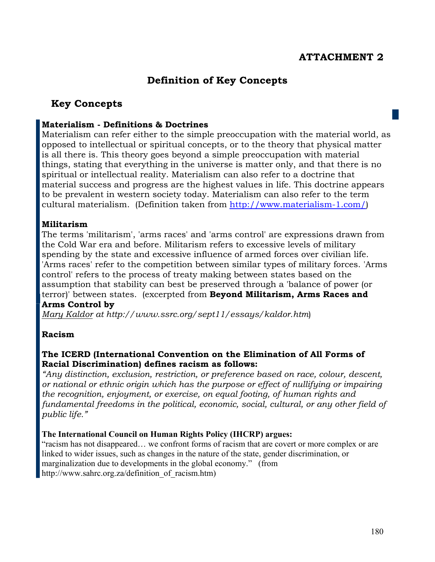## **ATTACHMENT 2**

## **Definition of Key Concepts**

### **Key Concepts**

#### **Materialism - Definitions & Doctrines**

Materialism can refer either to the simple preoccupation with the material world, as opposed to intellectual or spiritual concepts, or to the theory that physical matter is all there is. This theory goes beyond a simple preoccupation with material things, stating that everything in the universe is matter only, and that there is no spiritual or intellectual reality. Materialism can also refer to a doctrine that material success and progress are the highest values in life. This doctrine appears to be prevalent in western society today. Materialism can also refer to the term cultural materialism. (Definition taken from<http://www.materialism-1.com/>)

#### **Militarism**

The terms 'militarism', 'arms races' and 'arms control' are expressions drawn from the Cold War era and before. Militarism refers to excessive levels of military spending by the state and excessive influence of armed forces over civilian life. 'Arms races' refer to the competition between similar types of military forces. 'Arms control' refers to the process of treaty making between states based on the assumption that stability can best be preserved through a 'balance of power (or terror)' between states. (excerpted from **Beyond Militarism, Arms Races and** 

#### **Arms Control by**

*[Mary Kaldor](http://www.lse.ac.uk/cgi-bin/xslt?xml=experts.xml&xsl=experts.xsl&xslparam=person%3dm.h.kaldor) at http://www.ssrc.org/sept11/essays/kaldor.htm*)

#### **Racism**

#### **The ICERD (International Convention on the Elimination of All Forms of Racial Discrimination) defines racism as follows:**

*"Any distinction, exclusion, restriction, or preference based on race, colour, descent, or national or ethnic origin which has the purpose or effect of nullifying or impairing the recognition, enjoyment, or exercise, on equal footing, of human rights and fundamental freedoms in the political, economic, social, cultural, or any other field of public life."* 

#### **The International Council on Human Rights Policy (IHCRP) argues:**

"racism has not disappeared… we confront forms of racism that are covert or more complex or are linked to wider issues, such as changes in the nature of the state, gender discrimination, or marginalization due to developments in the global economy." (from http://www.sahrc.org.za/definition\_of\_racism.htm)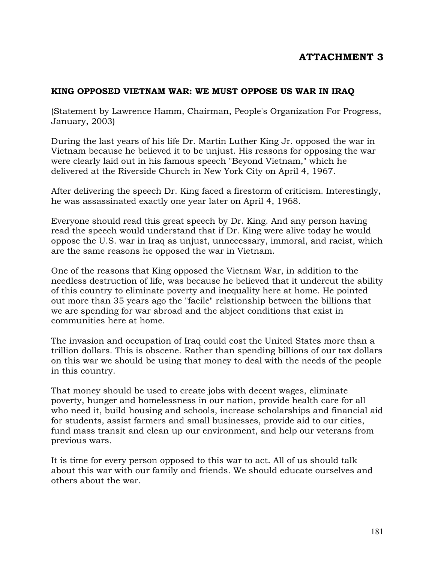## **ATTACHMENT 3**

#### **KING OPPOSED VIETNAM WAR: WE MUST OPPOSE US WAR IN IRAQ**

(Statement by Lawrence Hamm, Chairman, People's Organization For Progress, January, 2003)

During the last years of his life Dr. Martin Luther King Jr. opposed the war in Vietnam because he believed it to be unjust. His reasons for opposing the war were clearly laid out in his famous speech "Beyond Vietnam," which he delivered at the Riverside Church in New York City on April 4, 1967.

After delivering the speech Dr. King faced a firestorm of criticism. Interestingly, he was assassinated exactly one year later on April 4, 1968.

Everyone should read this great speech by Dr. King. And any person having read the speech would understand that if Dr. King were alive today he would oppose the U.S. war in Iraq as unjust, unnecessary, immoral, and racist, which are the same reasons he opposed the war in Vietnam.

One of the reasons that King opposed the Vietnam War, in addition to the needless destruction of life, was because he believed that it undercut the ability of this country to eliminate poverty and inequality here at home. He pointed out more than 35 years ago the "facile" relationship between the billions that we are spending for war abroad and the abject conditions that exist in communities here at home.

The invasion and occupation of Iraq could cost the United States more than a trillion dollars. This is obscene. Rather than spending billions of our tax dollars on this war we should be using that money to deal with the needs of the people in this country.

That money should be used to create jobs with decent wages, eliminate poverty, hunger and homelessness in our nation, provide health care for all who need it, build housing and schools, increase scholarships and financial aid for students, assist farmers and small businesses, provide aid to our cities, fund mass transit and clean up our environment, and help our veterans from previous wars.

It is time for every person opposed to this war to act. All of us should talk about this war with our family and friends. We should educate ourselves and others about the war.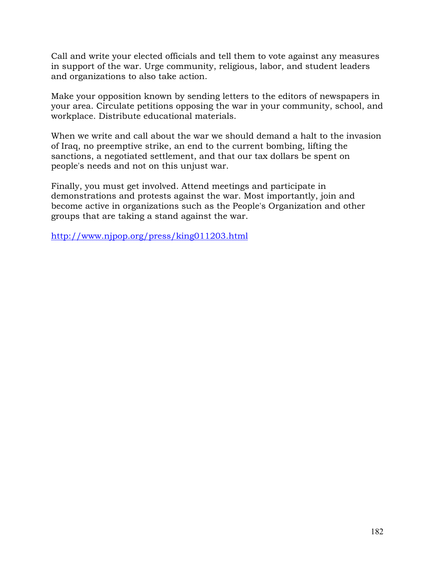Call and write your elected officials and tell them to vote against any measures in support of the war. Urge community, religious, labor, and student leaders and organizations to also take action.

Make your opposition known by sending letters to the editors of newspapers in your area. Circulate petitions opposing the war in your community, school, and workplace. Distribute educational materials.

When we write and call about the war we should demand a halt to the invasion of Iraq, no preemptive strike, an end to the current bombing, lifting the sanctions, a negotiated settlement, and that our tax dollars be spent on people's needs and not on this unjust war.

Finally, you must get involved. Attend meetings and participate in demonstrations and protests against the war. Most importantly, join and become active in organizations such as the People's Organization and other groups that are taking a stand against the war.

<http://www.njpop.org/press/king011203.html>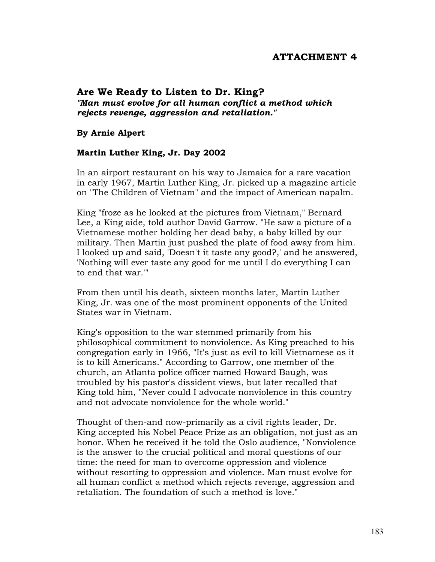### **ATTACHMENT 4**

#### **Are We Ready to Listen to Dr. King?** *"Man must evolve for all human conflict a method which rejects revenge, aggression and retaliation."*

#### **By Arnie Alpert**

#### **Martin Luther King, Jr. Day 2002**

In an airport restaurant on his way to Jamaica for a rare vacation in early 1967, Martin Luther King, Jr. picked up a magazine article on "The Children of Vietnam" and the impact of American napalm.

King "froze as he looked at the pictures from Vietnam," Bernard Lee, a King aide, told author David Garrow. "He saw a picture of a Vietnamese mother holding her dead baby, a baby killed by our military. Then Martin just pushed the plate of food away from him. I looked up and said, 'Doesn't it taste any good?,' and he answered, 'Nothing will ever taste any good for me until I do everything I can to end that war.'"

From then until his death, sixteen months later, Martin Luther King, Jr. was one of the most prominent opponents of the United States war in Vietnam.

King's opposition to the war stemmed primarily from his philosophical commitment to nonviolence. As King preached to his congregation early in 1966, "It's just as evil to kill Vietnamese as it is to kill Americans." According to Garrow, one member of the church, an Atlanta police officer named Howard Baugh, was troubled by his pastor's dissident views, but later recalled that King told him, "Never could I advocate nonviolence in this country and not advocate nonviolence for the whole world."

Thought of then-and now-primarily as a civil rights leader, Dr. King accepted his Nobel Peace Prize as an obligation, not just as an honor. When he received it he told the Oslo audience, "Nonviolence is the answer to the crucial political and moral questions of our time: the need for man to overcome oppression and violence without resorting to oppression and violence. Man must evolve for all human conflict a method which rejects revenge, aggression and retaliation. The foundation of such a method is love."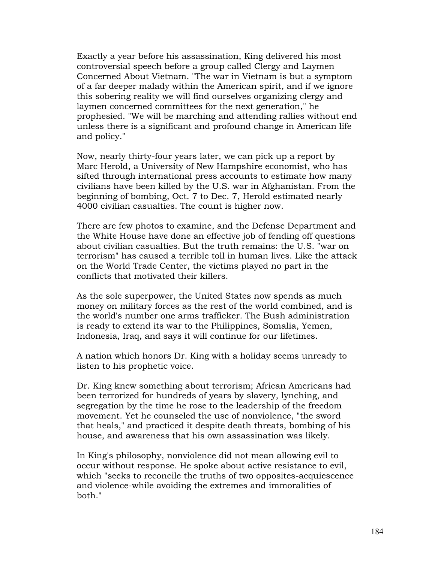Exactly a year before his assassination, King delivered his most controversial speech before a group called Clergy and Laymen Concerned About Vietnam. "The war in Vietnam is but a symptom of a far deeper malady within the American spirit, and if we ignore this sobering reality we will find ourselves organizing clergy and laymen concerned committees for the next generation," he prophesied. "We will be marching and attending rallies without end unless there is a significant and profound change in American life and policy."

Now, nearly thirty-four years later, we can pick up a report by Marc Herold, a University of New Hampshire economist, who has sifted through international press accounts to estimate how many civilians have been killed by the U.S. war in Afghanistan. From the beginning of bombing, Oct. 7 to Dec. 7, Herold estimated nearly 4000 civilian casualties. The count is higher now.

There are few photos to examine, and the Defense Department and the White House have done an effective job of fending off questions about civilian casualties. But the truth remains: the U.S. "war on terrorism" has caused a terrible toll in human lives. Like the attack on the World Trade Center, the victims played no part in the conflicts that motivated their killers.

As the sole superpower, the United States now spends as much money on military forces as the rest of the world combined, and is the world's number one arms trafficker. The Bush administration is ready to extend its war to the Philippines, Somalia, Yemen, Indonesia, Iraq, and says it will continue for our lifetimes.

A nation which honors Dr. King with a holiday seems unready to listen to his prophetic voice.

Dr. King knew something about terrorism; African Americans had been terrorized for hundreds of years by slavery, lynching, and segregation by the time he rose to the leadership of the freedom movement. Yet he counseled the use of nonviolence, "the sword that heals," and practiced it despite death threats, bombing of his house, and awareness that his own assassination was likely.

In King's philosophy, nonviolence did not mean allowing evil to occur without response. He spoke about active resistance to evil, which "seeks to reconcile the truths of two opposites-acquiescence and violence-while avoiding the extremes and immoralities of both."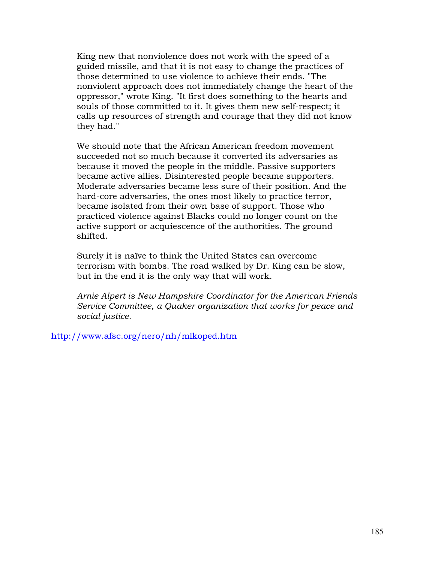King new that nonviolence does not work with the speed of a guided missile, and that it is not easy to change the practices of those determined to use violence to achieve their ends. "The nonviolent approach does not immediately change the heart of the oppressor," wrote King. "It first does something to the hearts and souls of those committed to it. It gives them new self-respect; it calls up resources of strength and courage that they did not know they had."

We should note that the African American freedom movement succeeded not so much because it converted its adversaries as because it moved the people in the middle. Passive supporters became active allies. Disinterested people became supporters. Moderate adversaries became less sure of their position. And the hard-core adversaries, the ones most likely to practice terror, became isolated from their own base of support. Those who practiced violence against Blacks could no longer count on the active support or acquiescence of the authorities. The ground shifted.

Surely it is naïve to think the United States can overcome terrorism with bombs. The road walked by Dr. King can be slow, but in the end it is the only way that will work.

*Arnie Alpert is New Hampshire Coordinator for the American Friends Service Committee, a Quaker organization that works for peace and social justice.*

<http://www.afsc.org/nero/nh/mlkoped.htm>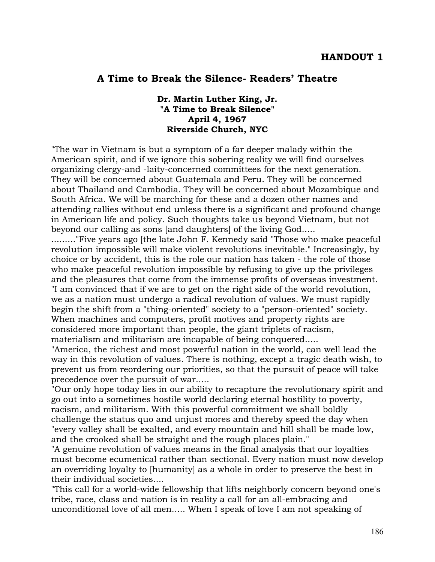#### **A Time to Break the Silence- Readers' Theatre**

#### **Dr. Martin Luther King, Jr. "A Time to Break Silence" April 4, 1967 Riverside Church, NYC**

"The war in Vietnam is but a symptom of a far deeper malady within the American spirit, and if we ignore this sobering reality we will find ourselves organizing clergy-and -laity-concerned committees for the next generation. They will be concerned about Guatemala and Peru. They will be concerned about Thailand and Cambodia. They will be concerned about Mozambique and South Africa. We will be marching for these and a dozen other names and attending rallies without end unless there is a significant and profound change in American life and policy. Such thoughts take us beyond Vietnam, but not beyond our calling as sons [and daughters] of the living God.....

........."Five years ago [the late John F. Kennedy said "Those who make peaceful revolution impossible will make violent revolutions inevitable." Increasingly, by choice or by accident, this is the role our nation has taken - the role of those who make peaceful revolution impossible by refusing to give up the privileges and the pleasures that come from the immense profits of overseas investment. "I am convinced that if we are to get on the right side of the world revolution, we as a nation must undergo a radical revolution of values. We must rapidly begin the shift from a "thing-oriented" society to a "person-oriented" society. When machines and computers, profit motives and property rights are considered more important than people, the giant triplets of racism, materialism and militarism are incapable of being conquered.....

"America, the richest and most powerful nation in the world, can well lead the way in this revolution of values. There is nothing, except a tragic death wish, to prevent us from reordering our priorities, so that the pursuit of peace will take precedence over the pursuit of war.....

"Our only hope today lies in our ability to recapture the revolutionary spirit and go out into a sometimes hostile world declaring eternal hostility to poverty, racism, and militarism. With this powerful commitment we shall boldly challenge the status quo and unjust mores and thereby speed the day when "every valley shall be exalted, and every mountain and hill shall be made low, and the crooked shall be straight and the rough places plain."

"A genuine revolution of values means in the final analysis that our loyalties must become ecumenical rather than sectional. Every nation must now develop an overriding loyalty to [humanity] as a whole in order to preserve the best in their individual societies....

"This call for a world-wide fellowship that lifts neighborly concern beyond one's tribe, race, class and nation is in reality a call for an all-embracing and unconditional love of all men..... When I speak of love I am not speaking of